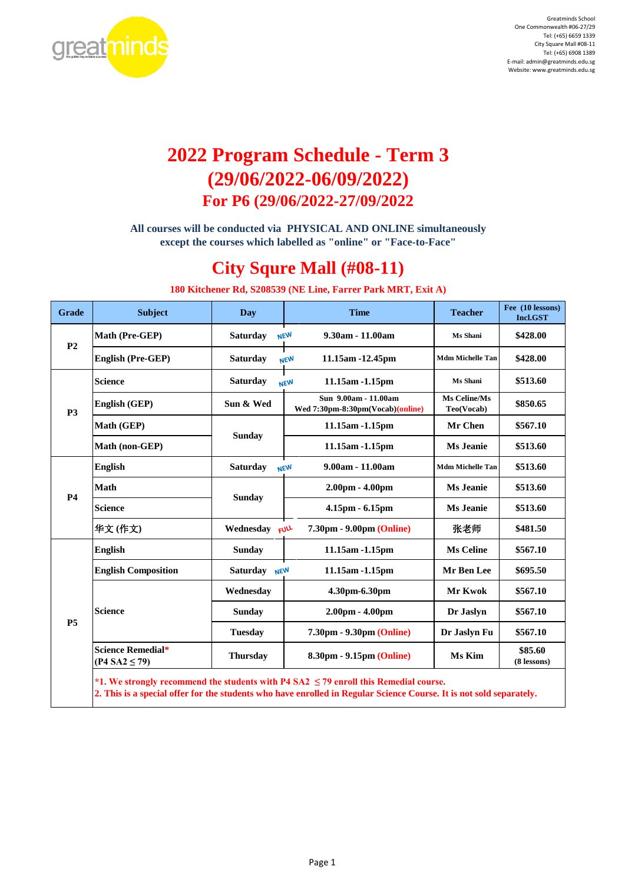

# **2022 Program Schedule - Term 3 (29/06/2022-06/09/2022) For P6 (29/06/2022-27/09/2022**

**All courses will be conducted via PHYSICAL AND ONLINE simultaneously except the courses which labelled as "online" or "Face-to-Face"**

## **City Squre Mall (#08-11)**

**180 Kitchener Rd, S208539 (NE Line, Farrer Park MRT, Exit A)**

| <b>Grade</b>   | <b>Subject</b>                                | Day                           | <b>Time</b>                                                                               | <b>Teacher</b>             | Fee (10 lessons)<br><b>Incl.GST</b> |
|----------------|-----------------------------------------------|-------------------------------|-------------------------------------------------------------------------------------------|----------------------------|-------------------------------------|
| P <sub>2</sub> | Math (Pre-GEP)                                | <b>Saturday</b>               | $9.30am - 11.00am$<br><b>NEW</b>                                                          | Ms Shani                   | \$428.00                            |
|                | English (Pre-GEP)                             | <b>Saturday</b>               | 11.15am -12.45pm<br><b>NEW</b>                                                            | <b>Mdm Michelle Tan</b>    | \$428.00                            |
|                | <b>Science</b>                                | <b>Saturday</b>               | 11.15am -1.15pm<br><b>NEW</b>                                                             | Ms Shani                   | \$513.60                            |
| <b>P3</b>      | English (GEP)                                 | Sun & Wed                     | Sun 9.00am - 11.00am<br>Wed 7:30pm-8:30pm(Vocab)(online)                                  | Ms Celine/Ms<br>Teo(Vocab) | \$850.65                            |
|                | Math (GEP)                                    | <b>Sunday</b>                 | 11.15am -1.15pm                                                                           | Mr Chen                    | \$567.10                            |
|                | Math (non-GEP)                                |                               | 11.15am -1.15pm                                                                           | <b>Ms Jeanie</b>           | \$513.60                            |
|                | <b>English</b>                                | <b>Saturday</b>               | 9.00am - 11.00am<br><b>NEW</b>                                                            | <b>Mdm Michelle Tan</b>    | \$513.60                            |
| <b>P4</b>      | <b>Math</b><br><b>Sunday</b>                  | $2.00pm - 4.00pm$             | <b>Ms Jeanie</b>                                                                          | \$513.60                   |                                     |
|                | <b>Science</b>                                |                               | 4.15pm - 6.15pm                                                                           | Ms Jeanie                  | \$513.60                            |
|                | 华文(作文)                                        | Wednesday                     | FULL<br>7.30pm - 9.00pm (Online)                                                          | 张老师                        | \$481.50                            |
|                | <b>English</b>                                | <b>Sunday</b>                 | 11.15am -1.15pm                                                                           | <b>Ms Celine</b>           | \$567.10                            |
|                | <b>English Composition</b>                    | <b>Saturday</b><br><b>NEW</b> | 11.15am -1.15pm                                                                           | Mr Ben Lee                 | \$695.50                            |
|                |                                               | Wednesday                     | 4.30pm-6.30pm                                                                             | Mr Kwok                    | \$567.10                            |
|                | <b>Science</b>                                | <b>Sunday</b>                 | 2.00pm - 4.00pm                                                                           | Dr Jaslyn                  | \$567.10                            |
| <b>P5</b>      |                                               | <b>Tuesday</b>                | 7.30pm - 9.30pm (Online)                                                                  | Dr Jaslyn Fu               | \$567.10                            |
|                | <b>Science Remedial*</b><br>$(P4 SA2 \le 79)$ | <b>Thursday</b>               | 8.30pm - 9.15pm (Online)                                                                  | Ms Kim                     | \$85.60<br>(8 lessons)              |
|                |                                               |                               | *1. We strongly recommend the students with P4 SA2 $\leq$ 79 enroll this Remedial course. |                            |                                     |

**2. This is a special offer for the students who have enrolled in Regular Science Course. It is not sold separately.**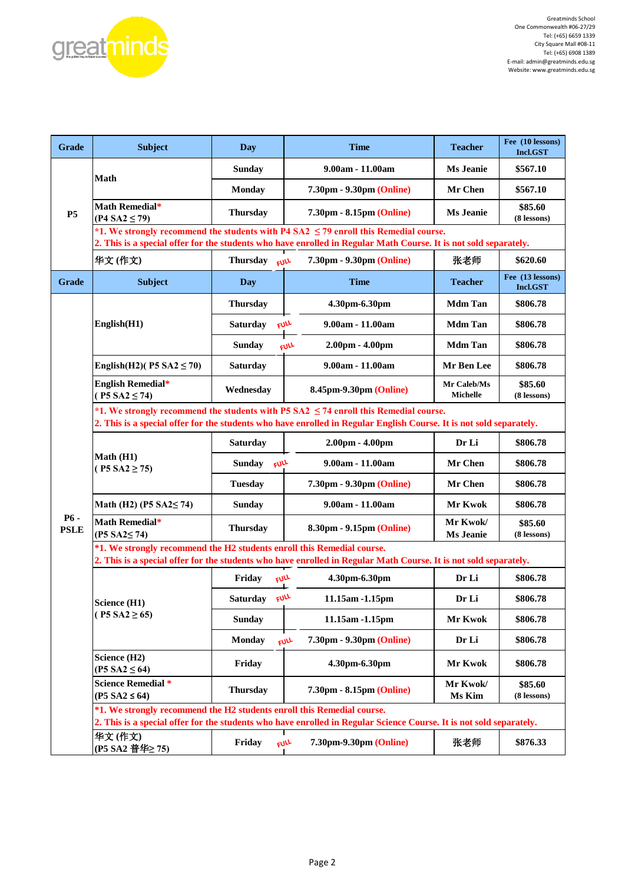

| Grade                 | <b>Subject</b>                                                                                                                                                                                                   | <b>Day</b>              | <b>Time</b>                                                                                                         | <b>Teacher</b>                 | Fee (10 lessons)<br><b>Incl.GST</b> |  |  |  |
|-----------------------|------------------------------------------------------------------------------------------------------------------------------------------------------------------------------------------------------------------|-------------------------|---------------------------------------------------------------------------------------------------------------------|--------------------------------|-------------------------------------|--|--|--|
|                       |                                                                                                                                                                                                                  | <b>Sunday</b>           | 9.00am - 11.00am                                                                                                    | Ms Jeanie                      | \$567.10                            |  |  |  |
| <b>P5</b>             | Math                                                                                                                                                                                                             | <b>Monday</b>           | 7.30pm - 9.30pm (Online)                                                                                            | Mr Chen                        | \$567.10                            |  |  |  |
|                       | Math Remedial*<br>$(P4 S A2 \le 79)$                                                                                                                                                                             | <b>Thursday</b>         | 7.30pm - 8.15pm (Online)                                                                                            | <b>Ms Jeanie</b>               | \$85.60<br>(8 lessons)              |  |  |  |
|                       | *1. We strongly recommend the students with P4 SA2 $\leq$ 79 enroll this Remedial course.<br>2. This is a special offer for the students who have enrolled in Regular Math Course. It is not sold separately.    |                         |                                                                                                                     |                                |                                     |  |  |  |
|                       | 华文(作文)                                                                                                                                                                                                           | Thursday FULL           | 7.30pm - 9.30pm (Online)                                                                                            | 张老师                            | \$620.60                            |  |  |  |
| Grade                 | Subject                                                                                                                                                                                                          | Day                     | <b>Time</b>                                                                                                         | <b>Teacher</b>                 | Fee (13 lessons)<br>Incl.GST        |  |  |  |
|                       |                                                                                                                                                                                                                  | <b>Thursday</b>         | 4.30pm-6.30pm                                                                                                       | <b>Mdm Tan</b>                 | \$806.78                            |  |  |  |
|                       | English(H1)                                                                                                                                                                                                      | FULL<br><b>Saturday</b> | 9.00am - 11.00am                                                                                                    | <b>Mdm Tan</b>                 | \$806.78                            |  |  |  |
|                       |                                                                                                                                                                                                                  | <b>Sunday</b>           | 2.00pm - 4.00pm<br>FULL                                                                                             | <b>Mdm Tan</b>                 | \$806.78                            |  |  |  |
|                       | English(H2)( $P5 SA2 \le 70$ )                                                                                                                                                                                   | Saturday                | 9.00am - 11.00am                                                                                                    | Mr Ben Lee                     | \$806.78                            |  |  |  |
|                       | <b>English Remedial*</b><br>$(P5 S A2 \le 74)$                                                                                                                                                                   | Wednesday               | 8.45pm-9.30pm (Online)                                                                                              | Mr Caleb/Ms<br><b>Michelle</b> | \$85.60<br>(8 lessons)              |  |  |  |
|                       | *1. We strongly recommend the students with P5 SA2 $\leq$ 74 enroll this Remedial course.<br>2. This is a special offer for the students who have enrolled in Regular English Course. It is not sold separately. |                         |                                                                                                                     |                                |                                     |  |  |  |
|                       | Math (H1)<br>$(P5 SA2 \ge 75)$                                                                                                                                                                                   | <b>Saturday</b>         | $2.00pm - 4.00pm$                                                                                                   |                                | \$806.78                            |  |  |  |
|                       |                                                                                                                                                                                                                  | FULL<br>Sunday          | 9.00am - 11.00am                                                                                                    | Mr Chen                        | \$806.78                            |  |  |  |
|                       |                                                                                                                                                                                                                  | <b>Tuesday</b>          | 7.30pm - 9.30pm (Online)                                                                                            | Mr Chen                        | \$806.78                            |  |  |  |
|                       | Math (H2) (P5 $SA2 \le 74$ )                                                                                                                                                                                     | <b>Sunday</b>           | 9.00am - 11.00am                                                                                                    | Mr Kwok                        | \$806.78                            |  |  |  |
| $P6 -$<br><b>PSLE</b> | Math Remedial*<br>$(P5 S A2 \le 74)$                                                                                                                                                                             | <b>Thursday</b>         | 8.30pm - 9.15pm (Online)                                                                                            | Mr Kwok/<br><b>Ms Jeanie</b>   | \$85.60<br>(8 lessons)              |  |  |  |
|                       | *1. We strongly recommend the H2 students enroll this Remedial course.<br>2. This is a special offer for the students who have enrolled in Regular Math Course. It is not sold separately.                       |                         |                                                                                                                     |                                |                                     |  |  |  |
|                       |                                                                                                                                                                                                                  | Friday<br>FULL          | 4.30pm-6.30pm                                                                                                       | Dr Li                          | \$806.78                            |  |  |  |
|                       | Science (H1)                                                                                                                                                                                                     | FULL<br>Saturdav        | 11.15am -1.15pm                                                                                                     | Dr Li                          | \$806.78                            |  |  |  |
|                       | $(P5 SA2 \ge 65)$                                                                                                                                                                                                | <b>Sunday</b>           | 11.15am -1.15pm                                                                                                     | Mr Kwok                        | \$806.78                            |  |  |  |
|                       |                                                                                                                                                                                                                  | <b>Monday</b>           | 7.30pm - 9.30pm (Online)<br><b>FULL</b>                                                                             | Dr Li                          | \$806.78                            |  |  |  |
|                       | Science (H2)<br>$(P5 S A2 \le 64)$                                                                                                                                                                               | Friday                  | 4.30pm-6.30pm                                                                                                       | Mr Kwok                        | \$806.78                            |  |  |  |
|                       | <b>Science Remedial *</b><br>$(P5 S A2 \leq 64)$                                                                                                                                                                 | <b>Thursday</b>         | 7.30pm - 8.15pm (Online)                                                                                            | Mr Kwok/<br>Ms Kim             | \$85.60<br>(8 lessons)              |  |  |  |
|                       | *1. We strongly recommend the H2 students enroll this Remedial course.                                                                                                                                           |                         | 2. This is a special offer for the students who have enrolled in Regular Science Course. It is not sold separately. |                                |                                     |  |  |  |
|                       | 华文(作文)<br>(P5 SA2 普华≥ 75)                                                                                                                                                                                        | Friday<br><b>FULL</b>   | 7.30pm-9.30pm (Online)                                                                                              | 张老师                            | \$876.33                            |  |  |  |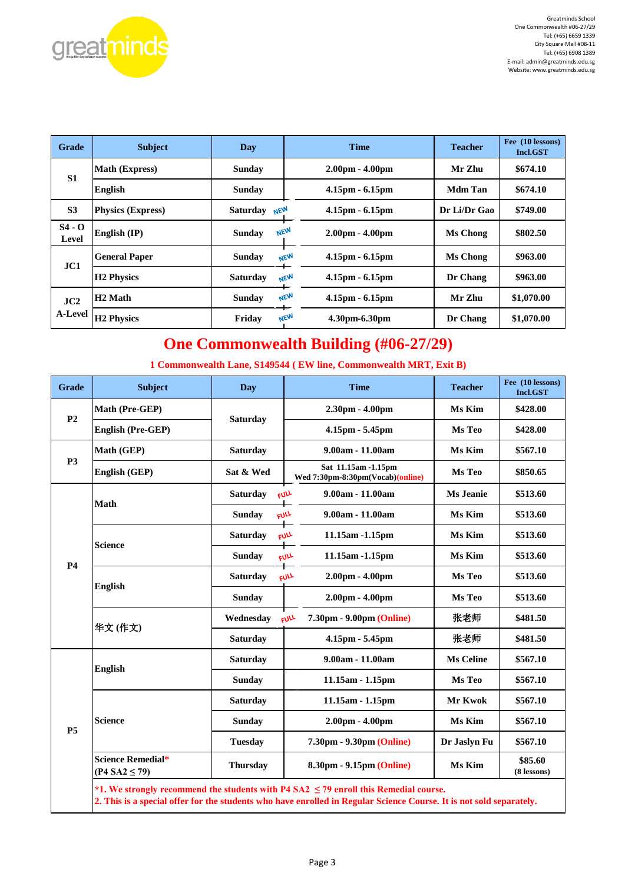

| Grade                 | <b>Subject</b>           | Day                         | <b>Time</b>                     | <b>Teacher</b>  | Fee (10 lessons)<br>Incl.GST |  |
|-----------------------|--------------------------|-----------------------------|---------------------------------|-----------------|------------------------------|--|
| S <sub>1</sub>        | <b>Math (Express)</b>    | Sunday                      | $2.00pm - 4.00pm$               | Mr Zhu          | \$674.10                     |  |
|                       | <b>English</b>           | Sunday                      | $4.15pm - 6.15pm$               | Mdm Tan         | \$674.10                     |  |
| S <sub>3</sub>        | <b>Physics (Express)</b> | Saturday $N \in \mathbb{N}$ | $4.15pm - 6.15pm$               | Dr Li/Dr Gao    | \$749.00                     |  |
| $S4 - O$<br>Level     | English $(\mathbf{IP})$  | <b>NEW</b><br><b>Sunday</b> | $2.00pm - 4.00pm$               | Ms Chong        | \$802.50                     |  |
| JC1                   | <b>General Paper</b>     | Sunday                      | 4.15pm - 6.15pm<br><b>NEW</b>   | <b>Ms Chong</b> | \$963.00                     |  |
|                       | <b>H2</b> Physics        | <b>Saturday</b>             | <b>NEW</b><br>$4.15pm - 6.15pm$ | Dr Chang        | \$963.00                     |  |
| JC2<br><b>A-Level</b> | H <sub>2</sub> Math      | Sunday                      | NEW<br>$4.15pm - 6.15pm$        | Mr Zhu          | \$1,070.00                   |  |
|                       | <b>H2 Physics</b>        | Friday                      | NEW<br>4.30pm-6.30pm            | Dr Chang        | \$1,070.00                   |  |

## **One Commonwealth Building (#06-27/29)**

**1 Commonwealth Lane, S149544 ( EW line, Commonwealth MRT, Exit B)**

| <b>Grade</b>   | <b>Subject</b>                                            | Day                                                                                                                                                                                                                                                                                                                                                                                                                                                                                                                                                                                                                                                    | <b>Time</b>                                                                                                                                                      | <b>Teacher</b>   | Fee (10 lessons)<br>Incl.GST |
|----------------|-----------------------------------------------------------|--------------------------------------------------------------------------------------------------------------------------------------------------------------------------------------------------------------------------------------------------------------------------------------------------------------------------------------------------------------------------------------------------------------------------------------------------------------------------------------------------------------------------------------------------------------------------------------------------------------------------------------------------------|------------------------------------------------------------------------------------------------------------------------------------------------------------------|------------------|------------------------------|
| P <sub>2</sub> | Math (Pre-GEP)                                            |                                                                                                                                                                                                                                                                                                                                                                                                                                                                                                                                                                                                                                                        | 2.30pm - 4.00pm                                                                                                                                                  | Ms Kim           | \$428.00                     |
|                | <b>English (Pre-GEP)</b>                                  | <b>Saturday</b><br>4.15pm - 5.45pm<br>9.00am - 11.00am<br><b>Saturday</b><br>Sat 11.15am -1.15pm<br>Sat & Wed<br>FULL<br>9.00am - 11.00am<br><b>Saturday</b><br>9.00am - 11.00am<br><b>Sunday</b><br><b>FULL</b><br>FULL<br>11.15am -1.15pm<br><b>Saturday</b><br>11.15am -1.15pm<br><b>Sunday</b><br>FULL<br>$2.00pm - 4.00pm$<br><b>FULL</b><br><b>Saturday</b><br>$2.00pm - 4.00pm$<br><b>Sunday</b><br>Wednesdav<br><b>FULL</b><br>$4.15pm - 5.45pm$<br><b>Saturday</b><br>9.00am - 11.00am<br><b>Saturday</b><br><b>Sunday</b><br>11.15am - 1.15pm<br><b>Saturday</b><br>11.15am - 1.15pm<br>$2.00pm - 4.00pm$<br><b>Sunday</b><br><b>Tuesday</b> |                                                                                                                                                                  | Ms Teo           | \$428.00                     |
|                | Math (GEP)                                                |                                                                                                                                                                                                                                                                                                                                                                                                                                                                                                                                                                                                                                                        |                                                                                                                                                                  | Ms Kim           | \$567.10                     |
| P <sub>3</sub> | English (GEP)                                             |                                                                                                                                                                                                                                                                                                                                                                                                                                                                                                                                                                                                                                                        | Wed 7:30pm-8:30pm(Vocab)(online)                                                                                                                                 | Ms Teo           | \$850.65                     |
|                | <b>Math</b>                                               |                                                                                                                                                                                                                                                                                                                                                                                                                                                                                                                                                                                                                                                        |                                                                                                                                                                  | <b>Ms Jeanie</b> | \$513.60                     |
|                |                                                           |                                                                                                                                                                                                                                                                                                                                                                                                                                                                                                                                                                                                                                                        |                                                                                                                                                                  | Ms Kim           | \$513.60                     |
|                |                                                           |                                                                                                                                                                                                                                                                                                                                                                                                                                                                                                                                                                                                                                                        |                                                                                                                                                                  | Ms Kim           | \$513.60                     |
| <b>P4</b>      | <b>Science</b>                                            |                                                                                                                                                                                                                                                                                                                                                                                                                                                                                                                                                                                                                                                        |                                                                                                                                                                  | Ms Kim           | \$513.60                     |
|                | <b>English</b><br>华文(作文)                                  |                                                                                                                                                                                                                                                                                                                                                                                                                                                                                                                                                                                                                                                        |                                                                                                                                                                  | Ms Teo           | \$513.60                     |
|                |                                                           |                                                                                                                                                                                                                                                                                                                                                                                                                                                                                                                                                                                                                                                        |                                                                                                                                                                  | Ms Teo           | \$513.60                     |
|                |                                                           |                                                                                                                                                                                                                                                                                                                                                                                                                                                                                                                                                                                                                                                        | 7.30pm - 9.00pm (Online)                                                                                                                                         | 张老师              | \$481.50                     |
|                |                                                           |                                                                                                                                                                                                                                                                                                                                                                                                                                                                                                                                                                                                                                                        |                                                                                                                                                                  | 张老师              | \$481.50                     |
|                | <b>English</b>                                            |                                                                                                                                                                                                                                                                                                                                                                                                                                                                                                                                                                                                                                                        |                                                                                                                                                                  | <b>Ms Celine</b> | \$567.10                     |
|                |                                                           |                                                                                                                                                                                                                                                                                                                                                                                                                                                                                                                                                                                                                                                        |                                                                                                                                                                  | Ms Teo           | \$567.10                     |
|                |                                                           |                                                                                                                                                                                                                                                                                                                                                                                                                                                                                                                                                                                                                                                        |                                                                                                                                                                  | <b>Mr Kwok</b>   | \$567.10                     |
| <b>P5</b>      | <b>Science</b>                                            |                                                                                                                                                                                                                                                                                                                                                                                                                                                                                                                                                                                                                                                        |                                                                                                                                                                  | Ms Kim           | \$567.10                     |
|                |                                                           |                                                                                                                                                                                                                                                                                                                                                                                                                                                                                                                                                                                                                                                        | 7.30pm - 9.30pm (Online)                                                                                                                                         | Dr Jaslyn Fu     | \$567.10                     |
|                | Science Remedial*<br><b>Thursday</b><br>$(P4 SA2 \le 79)$ |                                                                                                                                                                                                                                                                                                                                                                                                                                                                                                                                                                                                                                                        | 8.30pm - 9.15pm (Online)                                                                                                                                         | Ms Kim           | \$85.60<br>(8 lessons)       |
|                |                                                           |                                                                                                                                                                                                                                                                                                                                                                                                                                                                                                                                                                                                                                                        | *1. We strongly recommend the students with P4 SA2 $\leq$ 79 enroll this Remedial course.<br>$m \mapsto$ $m \mapsto m$ $m \mapsto m$ $m \mapsto m$ $m \mapsto m$ |                  |                              |

**2. This is a special offer for the students who have enrolled in Regular Science Course. It is not sold separately.**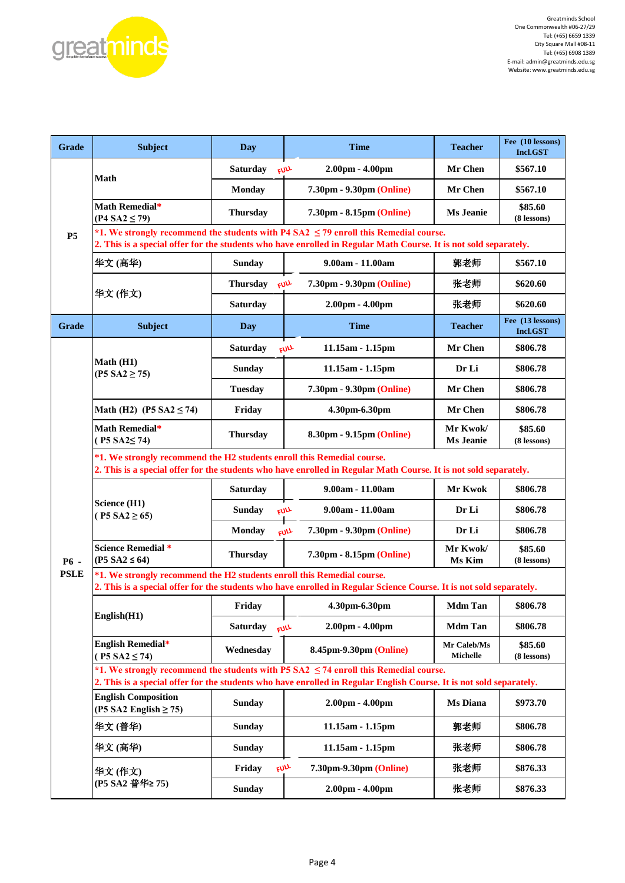

| Grade       | <b>Subject</b>                                                                                                                                                                                                | <b>Day</b>                                  | <b>Time</b>                                                                                                                                                                                                      | <b>Teacher</b>                 | Fee (10 lessons)<br>Incl.GST        |  |  |  |
|-------------|---------------------------------------------------------------------------------------------------------------------------------------------------------------------------------------------------------------|---------------------------------------------|------------------------------------------------------------------------------------------------------------------------------------------------------------------------------------------------------------------|--------------------------------|-------------------------------------|--|--|--|
|             |                                                                                                                                                                                                               | Saturday                                    | 2.00pm - 4.00pm<br>FULL                                                                                                                                                                                          | Mr Chen                        | \$567.10                            |  |  |  |
|             | <b>Math</b>                                                                                                                                                                                                   | Monday                                      | 7.30pm - 9.30pm (Online)                                                                                                                                                                                         | Mr Chen                        | \$567.10                            |  |  |  |
|             | Math Remedial*<br>$(P4 SA2 \le 79)$                                                                                                                                                                           | <b>Thursday</b>                             | 7.30pm - 8.15pm (Online)                                                                                                                                                                                         | <b>Ms Jeanie</b>               | \$85.60<br>(8 lessons)              |  |  |  |
| <b>P5</b>   | *1. We strongly recommend the students with P4 SA2 $\leq$ 79 enroll this Remedial course.<br>2. This is a special offer for the students who have enrolled in Regular Math Course. It is not sold separately. |                                             |                                                                                                                                                                                                                  |                                |                                     |  |  |  |
|             | 华文(高华)                                                                                                                                                                                                        | <b>Sunday</b>                               | 9.00am - 11.00am                                                                                                                                                                                                 | 郭老师                            | \$567.10                            |  |  |  |
|             | 华文(作文)                                                                                                                                                                                                        | <b>Thursday</b><br>FULL                     | 7.30pm - 9.30pm (Online)                                                                                                                                                                                         | 张老师                            | \$620.60                            |  |  |  |
|             |                                                                                                                                                                                                               | <b>Saturday</b>                             | $2.00pm - 4.00pm$                                                                                                                                                                                                | 张老师                            | \$620.60                            |  |  |  |
| Grade       | <b>Subject</b>                                                                                                                                                                                                | Day                                         | <b>Time</b>                                                                                                                                                                                                      | <b>Teacher</b>                 | Fee (13 lessons)<br><b>Incl.GST</b> |  |  |  |
|             |                                                                                                                                                                                                               | <b>Saturday</b>                             | 11.15am - 1.15pm<br>FULL                                                                                                                                                                                         | Mr Chen                        | \$806.78                            |  |  |  |
|             | Math (H1)<br>$(P5 S A2 \ge 75)$                                                                                                                                                                               | <b>Sunday</b>                               | 11.15am - 1.15pm                                                                                                                                                                                                 | Dr Li                          | \$806.78                            |  |  |  |
|             |                                                                                                                                                                                                               | <b>Tuesday</b>                              | 7.30pm - 9.30pm (Online)                                                                                                                                                                                         | Mr Chen                        | \$806.78                            |  |  |  |
|             | Math (H2) (P5 SA2 $\leq$ 74)                                                                                                                                                                                  | Friday                                      | 4.30pm-6.30pm                                                                                                                                                                                                    | Mr Chen                        | \$806.78                            |  |  |  |
|             | Math Remedial*<br>$($ P5 SA2 $\leq$ 74)                                                                                                                                                                       | <b>Thursday</b>                             | 8.30pm - 9.15pm (Online)                                                                                                                                                                                         |                                | \$85.60<br>(8 lessons)              |  |  |  |
|             | *1. We strongly recommend the H2 students enroll this Remedial course.<br>2. This is a special offer for the students who have enrolled in Regular Math Course. It is not sold separately.                    |                                             |                                                                                                                                                                                                                  |                                |                                     |  |  |  |
|             | Science (H1)<br>$(P5 SA2 \ge 65)$                                                                                                                                                                             | 9.00am - 11.00am<br><b>Saturday</b>         |                                                                                                                                                                                                                  | Mr Kwok                        | \$806.78                            |  |  |  |
|             |                                                                                                                                                                                                               | <b>Sunday</b>                               | FULL<br>9.00am - 11.00am                                                                                                                                                                                         | Dr Li                          | \$806.78                            |  |  |  |
|             |                                                                                                                                                                                                               | <b>Monday</b>                               | 7.30pm - 9.30pm (Online)<br><b>FULL</b>                                                                                                                                                                          | Dr Li                          | \$806.78                            |  |  |  |
| <b>P6</b> - | <b>Science Remedial *</b><br>$(P5 S A2 \leq 64)$                                                                                                                                                              | <b>Thursday</b><br>7.30pm - 8.15pm (Online) |                                                                                                                                                                                                                  | Mr Kwok/<br>Ms Kim             | \$85.60<br>(8 lessons)              |  |  |  |
| <b>PSLE</b> | *1. We strongly recommend the H2 students enroll this Remedial course.<br>2. This is a special offer for the students who have enrolled in Regular Science Course. It is not sold separately.                 |                                             |                                                                                                                                                                                                                  |                                |                                     |  |  |  |
|             | English(H1)                                                                                                                                                                                                   | Friday                                      | 4.30pm-6.30pm                                                                                                                                                                                                    | Mdm Tan                        | \$806.78                            |  |  |  |
|             |                                                                                                                                                                                                               | <b>Saturday</b><br>FULL                     | $2.00pm - 4.00pm$                                                                                                                                                                                                | <b>Mdm Tan</b>                 | \$806.78                            |  |  |  |
|             | <b>English Remedial*</b><br>$(P5 SA2 \le 74)$                                                                                                                                                                 | Wednesday                                   | 8.45pm-9.30pm (Online)                                                                                                                                                                                           | Mr Caleb/Ms<br><b>Michelle</b> | \$85.60<br>(8 lessons)              |  |  |  |
|             |                                                                                                                                                                                                               |                                             | *1. We strongly recommend the students with P5 SA2 $\leq$ 74 enroll this Remedial course.<br>2. This is a special offer for the students who have enrolled in Regular English Course. It is not sold separately. |                                |                                     |  |  |  |
|             | <b>English Composition</b><br>(P5 SA2 English $\geq$ 75)                                                                                                                                                      | <b>Sunday</b>                               | 2.00pm - 4.00pm                                                                                                                                                                                                  | <b>Ms Diana</b>                | \$973.70                            |  |  |  |
|             | 华文(普华)                                                                                                                                                                                                        | <b>Sunday</b>                               | 11.15am - 1.15pm                                                                                                                                                                                                 | 郭老师                            | \$806.78                            |  |  |  |
|             | 华文(高华)                                                                                                                                                                                                        | <b>Sunday</b>                               | 11.15am - 1.15pm                                                                                                                                                                                                 | 张老师                            | \$806.78                            |  |  |  |
|             | 华文(作文)                                                                                                                                                                                                        | <b>FULL</b><br>Friday                       | 7.30pm-9.30pm (Online)                                                                                                                                                                                           | 张老师                            | \$876.33                            |  |  |  |
|             | (P5 SA2 普华≥ 75)                                                                                                                                                                                               | <b>Sunday</b>                               | $2.00pm - 4.00pm$                                                                                                                                                                                                | 张老师                            | \$876.33                            |  |  |  |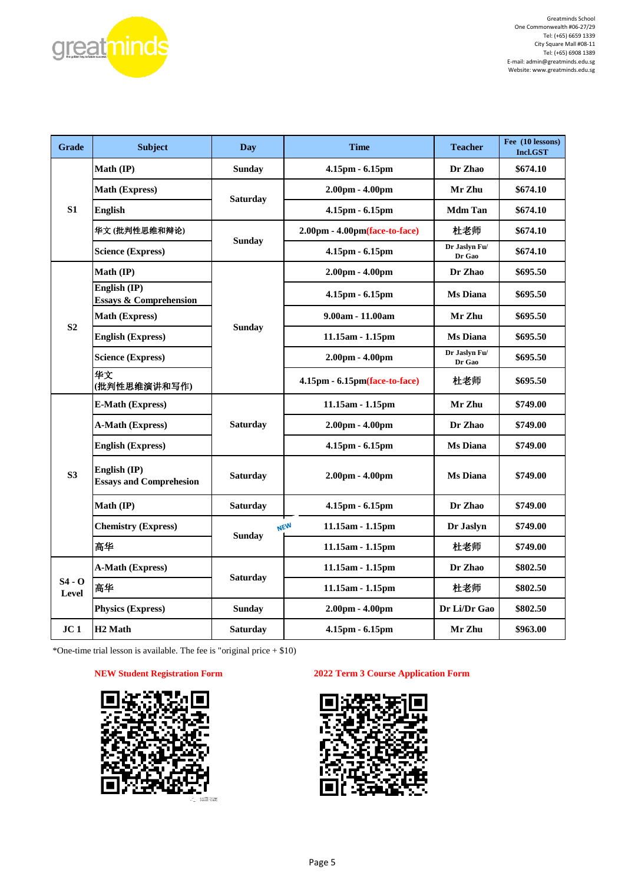

| Grade             | <b>Subject</b>                                    | <b>Day</b>       | <b>Time</b>                      | <b>Teacher</b>          | Fee (10 lessons)<br><b>Incl.GST</b> |
|-------------------|---------------------------------------------------|------------------|----------------------------------|-------------------------|-------------------------------------|
|                   | Math (IP)                                         | <b>Sunday</b>    | 4.15pm - 6.15pm                  | Dr Zhao                 | \$674.10                            |
|                   | <b>Math (Express)</b>                             |                  | $2.00pm - 4.00pm$                | Mr Zhu                  | \$674.10                            |
| S <sub>1</sub>    | <b>English</b>                                    | <b>Saturday</b>  | 4.15pm - 6.15pm                  | <b>Mdm</b> Tan          | \$674.10                            |
|                   | 华文(批判性思维和辩论)                                      |                  | $2.00pm - 4.00pm$ (face-to-face) | 杜老师                     | \$674.10                            |
|                   | <b>Science (Express)</b>                          | <b>Sunday</b>    | 4.15pm - 6.15pm                  | Dr Jaslyn Fu/<br>Dr Gao | \$674.10                            |
|                   | Math (IP)                                         |                  | $2.00pm - 4.00pm$                | Dr Zhao                 | \$695.50                            |
|                   | English (IP)<br><b>Essays &amp; Comprehension</b> |                  | 4.15pm - 6.15pm                  | <b>Ms</b> Diana         | \$695.50                            |
| S <sub>2</sub>    | <b>Math (Express)</b>                             |                  | 9.00am - 11.00am                 | Mr Zhu                  | \$695.50                            |
|                   | <b>English (Express)</b>                          | <b>Sunday</b>    | $11.15am - 1.15pm$               | <b>Ms</b> Diana         | \$695.50                            |
|                   | <b>Science (Express)</b>                          |                  | $2.00pm - 4.00pm$                | Dr Jaslyn Fu/<br>Dr Gao | \$695.50                            |
|                   | 华文<br>(批判性思维演讲和写作)                                |                  | 4.15pm - 6.15pm(face-to-face)    | 杜老师                     | \$695.50                            |
|                   | <b>E-Math (Express)</b>                           |                  | 11.15am - 1.15pm                 | Mr Zhu                  | \$749.00                            |
|                   | A-Math (Express)                                  | Saturday         | $2.00pm - 4.00pm$                | Dr Zhao                 | \$749.00                            |
|                   | <b>English (Express)</b>                          |                  | 4.15pm - 6.15pm                  | <b>Ms</b> Diana         | \$749.00                            |
| S <sub>3</sub>    | English (IP)<br><b>Essays and Comprehesion</b>    | <b>Saturday</b>  | 2.00pm - 4.00pm                  | <b>Ms</b> Diana         | \$749.00                            |
|                   | Math (IP)                                         | <b>Saturday</b>  | 4.15pm - 6.15pm                  | Dr Zhao                 | \$749.00                            |
|                   | <b>Chemistry (Express)</b>                        | <b>NEW</b>       | 11.15am - 1.15pm                 | Dr Jaslyn               | \$749.00                            |
|                   | 高华                                                | <b>Sunday</b>    | 11.15am - 1.15pm                 | 杜老师                     | \$749.00                            |
|                   | <b>A-Math (Express)</b>                           | 11.15am - 1.15pm |                                  | Dr Zhao                 | \$802.50                            |
| $S4 - O$<br>Level | 高华                                                | <b>Saturday</b>  | 11.15am - 1.15pm                 | 杜老师                     | \$802.50                            |
|                   | <b>Physics (Express)</b>                          | Sunday           | $2.00pm - 4.00pm$                | Dr Li/Dr Gao            | \$802.50                            |
| JC <sub>1</sub>   | H <sub>2</sub> Math                               | Saturday         | 4.15pm - 6.15pm                  | Mr Zhu                  | \$963.00                            |

\*One-time trial lesson is available. The fee is "original price  $+$  \$10)

#### **NEW Student Registration Form**



#### **2022 Term 3 Course Application Form**

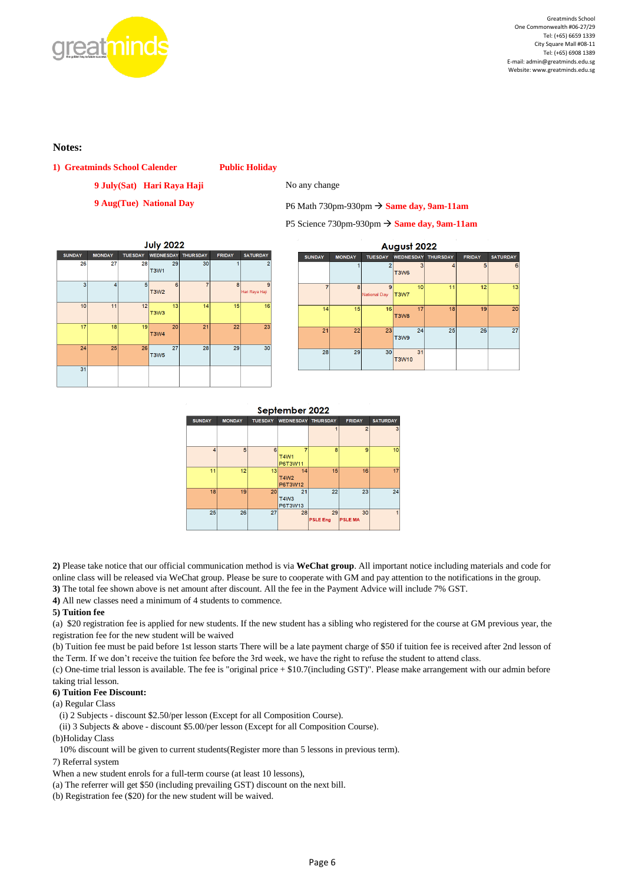

#### **Notes:**

**1) Greatminds School Calender Public Holiday**

**9 July(Sat) Hari Raya Haji** No any change

**9 Aug(Tue) National Day** P6 Math 730pm-930pm → **Same day, 9am-11am**

P5 Science 730pm-930pm → **Same day, 9am-11am**

| <b>July 2022</b> |               |                |                   |                 |               |                     |  |  |  |
|------------------|---------------|----------------|-------------------|-----------------|---------------|---------------------|--|--|--|
| <b>SUNDAY</b>    | <b>MONDAY</b> | <b>TUESDAY</b> | <b>WEDNESDAY</b>  | <b>THURSDAY</b> | <b>FRIDAY</b> | <b>SATURDAY</b>     |  |  |  |
| 26               | 27            | 28             | 29<br><b>T3W1</b> | 30              | 1             | 2                   |  |  |  |
| 3                | 4             | 5              | 6<br><b>T3W2</b>  | $\overline{7}$  | 8             | 9<br>Hari Raya Haji |  |  |  |
| 10               | 11            | 12             | 13<br>T3W3        | 14              | 15            | 16                  |  |  |  |
| 17               | 18            | 19             | 20<br><b>T3W4</b> | 21              | 22            | 23                  |  |  |  |
| 24               | 25            | 26             | 27<br><b>T3W5</b> | 28              | 29            | 30                  |  |  |  |
| 31               |               |                |                   |                 |               |                     |  |  |  |

| August 2022   |               |                          |             |                           |               |                 |  |  |
|---------------|---------------|--------------------------|-------------|---------------------------|---------------|-----------------|--|--|
| <b>SUNDAY</b> | <b>MONDAY</b> | <b>TUESDAY</b>           |             | <b>WEDNESDAY THURSDAY</b> | <b>FRIDAY</b> | <b>SATURDAY</b> |  |  |
|               |               | $\overline{2}$           | 3<br>T3W6   | $\overline{4}$            | 5             | 6               |  |  |
| 7             | 8             | 9<br><b>National Day</b> | 10<br>T3W7  | 11                        | 12            | 13              |  |  |
| 14            | 15            | 16                       | 17<br>T3W8  | 18                        | 19            | 20              |  |  |
| 21            | 22            | 23                       | 24<br>T3W9  | 25                        | 26            | 27              |  |  |
| 28            | 29            | 30                       | 31<br>T3W10 |                           |               |                 |  |  |

September 2022

| <b>SUNDAY</b> | <b>MONDAY</b> | <b>TUESDAY</b> | <b>WEDNESDAY</b>             | <b>THURSDAY</b>       | <b>FRIDAY</b>       | <b>SATURDAY</b> |
|---------------|---------------|----------------|------------------------------|-----------------------|---------------------|-----------------|
|               |               |                |                              |                       | $\overline{c}$      | 3               |
| 4             | 5             | 6              | 7<br><b>T4W1</b><br>P6T3W11  | 8                     | 9                   | 10              |
| 11            | 12            | 13             | 14<br><b>T4W2</b><br>P6T3W12 | 15                    | 16                  | 17              |
| 18            | 19            | 20             | 21<br><b>T4W3</b><br>P6T3W13 | 22                    | 23                  | 24              |
| 25            | 26            | 27             | 28                           | 29<br><b>PSLE Eng</b> | 30<br><b>PSLEMA</b> |                 |

**2)** Please take notice that our official communication method is via **WeChat group**. All important notice including materials and code for online class will be released via WeChat group. Please be sure to cooperate with GM and pay attention to the notifications in the group. **3)** The total fee shown above is net amount after discount. All the fee in the Payment Advice will include 7% GST.

**4)** All new classes need a minimum of 4 students to commence.

#### **5) Tuition fee**

(a) \$20 registration fee is applied for new students. If the new student has a sibling who registered for the course at GM previous year, the registration fee for the new student will be waived

(b) Tuition fee must be paid before 1st lesson starts There will be a late payment charge of \$50 if tuition fee is received after 2nd lesson of the Term. If we don't receive the tuition fee before the 3rd week, we have the right to refuse the student to attend class.

(c) One-time trial lesson is available. The fee is "original price + \$10.7(including GST)". Please make arrangement with our admin before taking trial lesson.

#### **6) Tuition Fee Discount:**

(a) Regular Class

(i) 2 Subjects - discount \$2.50/per lesson (Except for all Composition Course).

(ii) 3 Subjects & above - discount \$5.00/per lesson (Except for all Composition Course).

(b)Holiday Class

10% discount will be given to current students(Register more than 5 lessons in previous term).

7) Referral system

When a new student enrols for a full-term course (at least 10 lessons),

(a) The referrer will get \$50 (including prevailing GST) discount on the next bill.

(b) Registration fee (\$20) for the new student will be waived.